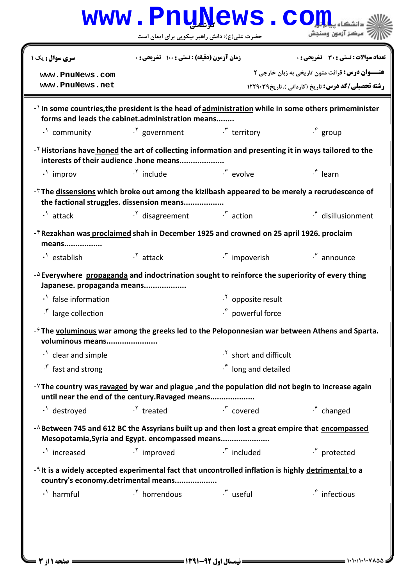|                                                                                                                                     | <b>www.Pnu̯News.co</b>                                         |                                       |                                                                                                                    |
|-------------------------------------------------------------------------------------------------------------------------------------|----------------------------------------------------------------|---------------------------------------|--------------------------------------------------------------------------------------------------------------------|
|                                                                                                                                     | حضرت علی(ع): دانش راهبر نیکویی برای ایمان است                  |                                       | 7 مرڪز آزمون وسنڊش                                                                                                 |
| سری سوال : یک ۱                                                                                                                     | <b>زمان آزمون (دقیقه) : تستی : 100 تشریحی : 0</b>              |                                       | تعداد سوالات : تستي : 30 ٪ تشريحي : 0                                                                              |
| www.PnuNews.com<br>www.PnuNews.net                                                                                                  |                                                                |                                       | <b>عنـــوان درس:</b> قرائت متون تاریخی به زبان خارجی ۲<br><b>رشته تحصیلی/کد درس:</b> تاریخ (کاردانی )،تاریخ1۲۲۹۰۳۹ |
|                                                                                                                                     | forms and leads the cabinet.administration means               |                                       | - In some countries, the president is the head of administration while in some others primeminister                |
| $\cdot$ <sup>'</sup> community                                                                                                      | $\cdot$ <sup>Y</sup> government $\cdot$ <sup>r</sup> territory |                                       | $\cdot^{\mathfrak{p}}$ group                                                                                       |
| - <sup>Y</sup> Historians have honed the art of collecting information and presenting it in ways tailored to the                    | interests of their audience .hone means                        |                                       |                                                                                                                    |
| $\cdot$ improv                                                                                                                      | $\cdot$ <sup>Y</sup> include                                   | $\mathcal{F}$ evolve                  | $\cdot^*$ learn                                                                                                    |
| - <sup><math>\tau</math></sup> The <u>dissensions</u> which broke out among the kizilbash appeared to be merely a recrudescence of  | the factional struggles. dissension means                      |                                       |                                                                                                                    |
| $\cdot$ <sup>1</sup> attack                                                                                                         | $\cdot$ <sup>Y</sup> disagreement $\cdot$ <sup>Y</sup> action  |                                       | $\cdot^{\mathfrak{p}}$ disillusionment                                                                             |
| -* Rezakhan was proclaimed shah in December 1925 and crowned on 25 april 1926. proclaim<br>means                                    |                                                                |                                       |                                                                                                                    |
| $\cdot$ <sup>1</sup> establish                                                                                                      | $\cdot$ <sup>Y</sup> attack                                    | <sup>5</sup> impoverish               | $\cdot^{\mathfrak{e}}$ announce                                                                                    |
| $-\Delta$ Everywhere propaganda and indoctrination sought to reinforce the superiority of every thing<br>Japanese. propaganda means |                                                                |                                       |                                                                                                                    |
| · false information                                                                                                                 |                                                                | $\cdot$ <sup>Y</sup> opposite result  |                                                                                                                    |
| <sup>r</sup> large collection                                                                                                       |                                                                | $\cdot^{\mathfrak{p}}$ powerful force |                                                                                                                    |
| voluminous means                                                                                                                    |                                                                |                                       | $-\hat{r}$ The voluminous war among the greeks led to the Peloponnesian war between Athens and Sparta.             |
| $\cdot$ clear and simple                                                                                                            |                                                                | <sup>1</sup> short and difficult      |                                                                                                                    |
| $\cdot$ fast and strong                                                                                                             |                                                                | $\cdot^*$ long and detailed           |                                                                                                                    |
| - <sup>V</sup> The country was ravaged by war and plague , and the population did not begin to increase again                       | until near the end of the century.Ravaged means                |                                       |                                                                                                                    |
| $\cdot$ <sup>1</sup> destroyed                                                                                                      | $\cdot$ <sup>Y</sup> treated                                   | $\cdot^{\mathsf{r}}$ covered          | $\cdot^{\mathfrak{e}}$ changed                                                                                     |
| -A Between 745 and 612 BC the Assyrians built up and then lost a great empire that encompassed                                      | Mesopotamia, Syria and Egypt. encompassed means                |                                       |                                                                                                                    |
| $\cdot$ increased                                                                                                                   | $\cdot$ <sup>Y</sup> improved                                  | $\cdot^{\mathsf{r}}$ included         | $\cdot^{\mathfrak{p}}$ protected                                                                                   |
| - It is a widely accepted experimental fact that uncontrolled inflation is highly detrimental to a                                  | country's economy.detrimental means                            |                                       |                                                                                                                    |
|                                                                                                                                     | $\cdot$ <sup>Y</sup> horrendous $\cdot$ <sup>Y</sup> useful    |                                       | $\cdot^{\mathfrak{e}}$ infectious                                                                                  |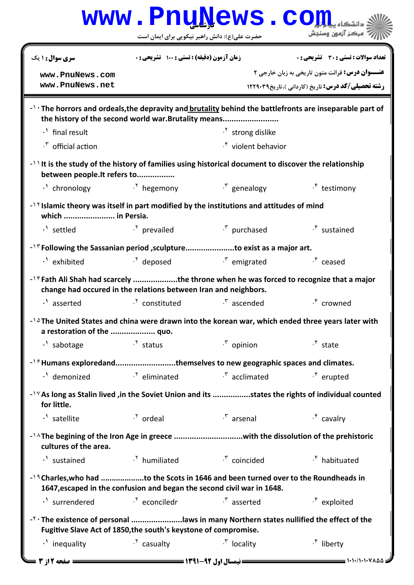|                                                                                                                                                                       |                                             | www.PnuNews.co                                                                                                              |                                                         |  |  |
|-----------------------------------------------------------------------------------------------------------------------------------------------------------------------|---------------------------------------------|-----------------------------------------------------------------------------------------------------------------------------|---------------------------------------------------------|--|--|
|                                                                                                                                                                       |                                             | حضرت علی(ع): دانش راهبر نیکویی برای ایمان است                                                                               | مركز آزمون وسنجش                                        |  |  |
| سری سوال: ۱ یک                                                                                                                                                        | زمان آزمون (دقیقه) : تستی ; ۱۰۰ آتشریحی ; . |                                                                                                                             | <b>تعداد سوالات : تستی : 30 ٪ تشریحی : 0</b>            |  |  |
| www.PnuNews.com                                                                                                                                                       |                                             |                                                                                                                             | عنـــوان درس: قرائت متون تاریخی به زبان خارجی ۲         |  |  |
| www.PnuNews.net                                                                                                                                                       |                                             |                                                                                                                             | <b>رشته تحصیلی/کد درس:</b> تاریخ (کاردانی)،تاریخ1۲۲۹۰۳۹ |  |  |
| $ \cdot$ The horrors and ordeals, the depravity and brutality behind the battlefronts are inseparable part of<br>the history of the second world war. Brutality means |                                             |                                                                                                                             |                                                         |  |  |
| $\cdot$ <sup>1</sup> final result                                                                                                                                     |                                             | $\cdot$ <sup>Y</sup> strong dislike                                                                                         |                                                         |  |  |
| * official action                                                                                                                                                     |                                             | . <sup>*</sup> violent behavior                                                                                             |                                                         |  |  |
| $\rightarrow$ ) It is the study of the history of families using historical document to discover the relationship<br>between people. It refers to                     |                                             |                                                                                                                             |                                                         |  |  |
| $\cdot$ chronology                                                                                                                                                    | $\cdot$ <sup>Y</sup> hegemony               | <sup>r</sup> genealogy                                                                                                      | $\cdot^{\mathfrak{p}}$ testimony                        |  |  |
| $-$ <sup><math>\gamma</math></sup> Islamic theory was itself in part modified by the institutions and attitudes of mind<br>which  in Persia.                          |                                             |                                                                                                                             |                                                         |  |  |
| $\cdot$ <sup>1</sup> settled                                                                                                                                          | $\cdot$ <sup>Y</sup> prevailed              | . <sup>۳</sup> purchased                                                                                                    | $\cdot^{\mathfrak{e}}$ sustained                        |  |  |
| - <sup>1</sup> Following the Sassanian period ,sculptureto exist as a major art.                                                                                      |                                             |                                                                                                                             |                                                         |  |  |
| $\cdot$ exhibited                                                                                                                                                     |                                             | $\cdot$ <sup>Y</sup> deposed $\cdot$ <sup>Y</sup> emigrated $\cdot$ <sup>F</sup> ceased                                     |                                                         |  |  |
| - <sup>16</sup> Fath Ali Shah had scarcely the throne when he was forced to recognize that a major<br>change had occured in the relations between Iran and neighbors. |                                             |                                                                                                                             |                                                         |  |  |
| . <sup>1</sup> asserted                                                                                                                                               | <sup>1</sup> constituted                    | $\cdot^{\mathsf{r}}$ ascended                                                                                               | $\cdot^{\mathfrak{p}}$ crowned                          |  |  |
| -14 The United States and china were drawn into the korean war, which ended three years later with<br>a restoration of the  quo.                                      |                                             |                                                                                                                             |                                                         |  |  |
| . <sup>1</sup> sabotage                                                                                                                                               | $\frac{1}{2}$ status                        | $\cdot^{\tau}$ opinion                                                                                                      | $\cdot^*$ state                                         |  |  |
| -19 Humans exploredandthemselves to new geographic spaces and climates.                                                                                               |                                             |                                                                                                                             |                                                         |  |  |
|                                                                                                                                                                       |                                             | $\cdot$ <sup>1</sup> demonized $\cdot$ <sup>5</sup> eliminated $\cdot$ <sup>5</sup> acclimated $\cdot$ <sup>6</sup> erupted |                                                         |  |  |
| -1YAs long as Stalin lived, in the Soviet Union and its states the rights of individual counted<br>for little.                                                        |                                             |                                                                                                                             |                                                         |  |  |
| $\cdot$ ' satellite                                                                                                                                                   | <sup>1</sup> ordeal                         | $\mathcal{F}$ arsenal                                                                                                       | $\cdot^*$ cavalry                                       |  |  |
| -14The begining of the Iron Age in greece with the dissolution of the prehistoric<br>cultures of the area.                                                            |                                             |                                                                                                                             |                                                         |  |  |
|                                                                                                                                                                       |                                             | $\cdot$ <sup>1</sup> sustained $\cdot$ <sup>1</sup> humiliated $\cdot$ <sup>5</sup> coincided                               | $\cdot$ <sup>*</sup> habituated                         |  |  |
| -19 Charles, who had to the Scots in 1646 and been turned over to the Roundheads in                                                                                   |                                             | 1647, escaped in the confusion and began the second civil war in 1648.                                                      |                                                         |  |  |
| N surrendered M Conciledr N asserted                                                                                                                                  |                                             |                                                                                                                             | $\cdot^*$ exploited                                     |  |  |
| -Y · The existence of personal laws in many Northern states nullified the effect of the<br>Fugitive Slave Act of 1850, the south's keystone of compromise.            |                                             |                                                                                                                             |                                                         |  |  |
| $\cdot$ inequality                                                                                                                                                    | <sup>.Y</sup> casualty                      | $\cdot^{\mathsf{r}}$ locality                                                                                               | $\cdot^{\mathfrak{e}}$ liberty                          |  |  |
| صفحه 12ز 3                                                                                                                                                            |                                             |                                                                                                                             | $=$ ۱۰۱۰/۱۰۱۰۷۸۵۵;                                      |  |  |